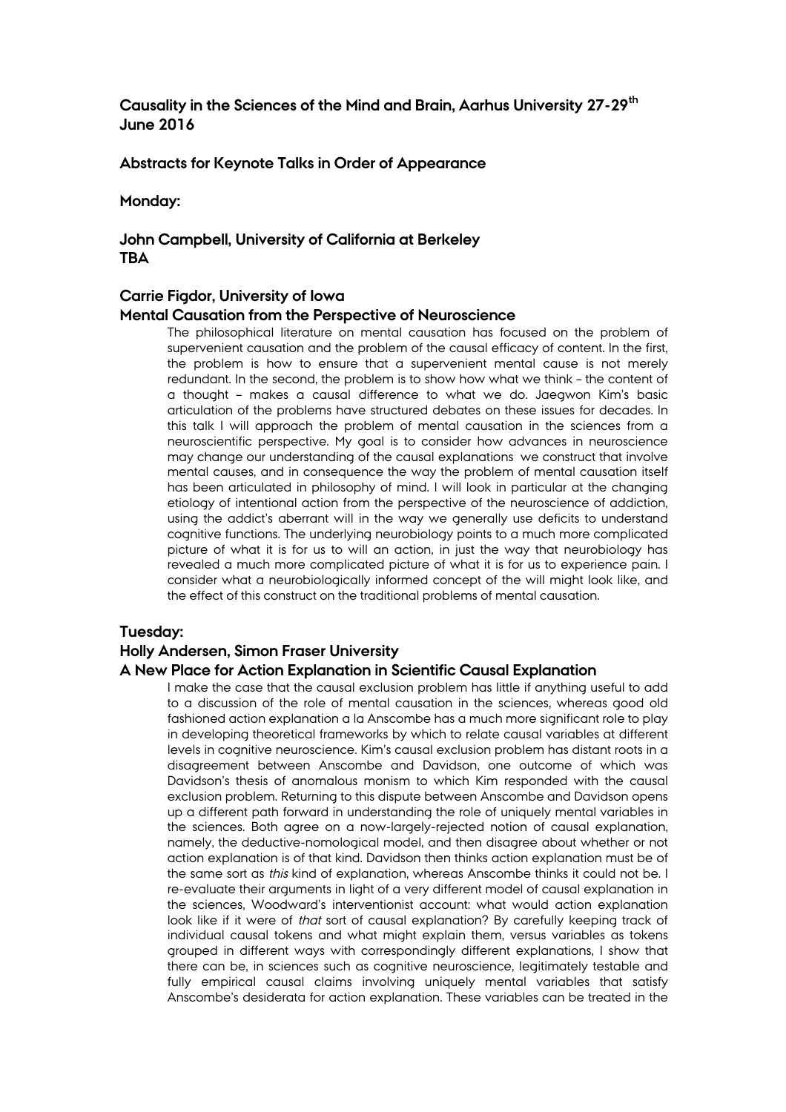# **Causality in the Sciences of the Mind and Brain, Aarhus University 27-29th June 2016**

#### **Abstracts for Keynote Talks in Order of Appearance**

**Monday:**

# **John Campbell, University of California at Berkeley TBA**

### **Carrie Figdor, University of Iowa**

#### **Mental Causation from the Perspective of Neuroscience**

The philosophical literature on mental causation has focused on the problem of supervenient causation and the problem of the causal efficacy of content. In the first, the problem is how to ensure that a supervenient mental cause is not merely redundant. In the second, the problem is to show how what we think – the content of a thought – makes a causal difference to what we do. Jaegwon Kim's basic articulation of the problems have structured debates on these issues for decades. In this talk I will approach the problem of mental causation in the sciences from a neuroscientific perspective. My goal is to consider how advances in neuroscience may change our understanding of the causal explanations we construct that involve mental causes, and in consequence the way the problem of mental causation itself has been articulated in philosophy of mind. I will look in particular at the changing etiology of intentional action from the perspective of the neuroscience of addiction, using the addict's aberrant will in the way we generally use deficits to understand cognitive functions. The underlying neurobiology points to a much more complicated picture of what it is for us to will an action, in just the way that neurobiology has revealed a much more complicated picture of what it is for us to experience pain. I consider what a neurobiologically informed concept of the will might look like, and the effect of this construct on the traditional problems of mental causation.

## **Tuesday:**

### **Holly Andersen, Simon Fraser University**

#### **A New Place for Action Explanation in Scientific Causal Explanation**

I make the case that the causal exclusion problem has little if anything useful to add to a discussion of the role of mental causation in the sciences, whereas good old fashioned action explanation a la Anscombe has a much more significant role to play in developing theoretical frameworks by which to relate causal variables at different levels in cognitive neuroscience. Kim's causal exclusion problem has distant roots in a disagreement between Anscombe and Davidson, one outcome of which was Davidson's thesis of anomalous monism to which Kim responded with the causal exclusion problem. Returning to this dispute between Anscombe and Davidson opens up a different path forward in understanding the role of uniquely mental variables in the sciences. Both agree on a now-largely-rejected notion of causal explanation, namely, the deductive-nomological model, and then disagree about whether or not action explanation is of that kind. Davidson then thinks action explanation must be of the same sort as this kind of explanation, whereas Anscombe thinks it could not be. I re-evaluate their arguments in light of a very different model of causal explanation in the sciences, Woodward's interventionist account: what would action explanation look like if it were of that sort of causal explanation? By carefully keeping track of individual causal tokens and what might explain them, versus variables as tokens grouped in different ways with correspondingly different explanations, I show that there can be, in sciences such as cognitive neuroscience, legitimately testable and fully empirical causal claims involving uniquely mental variables that satisfy Anscombe's desiderata for action explanation. These variables can be treated in the